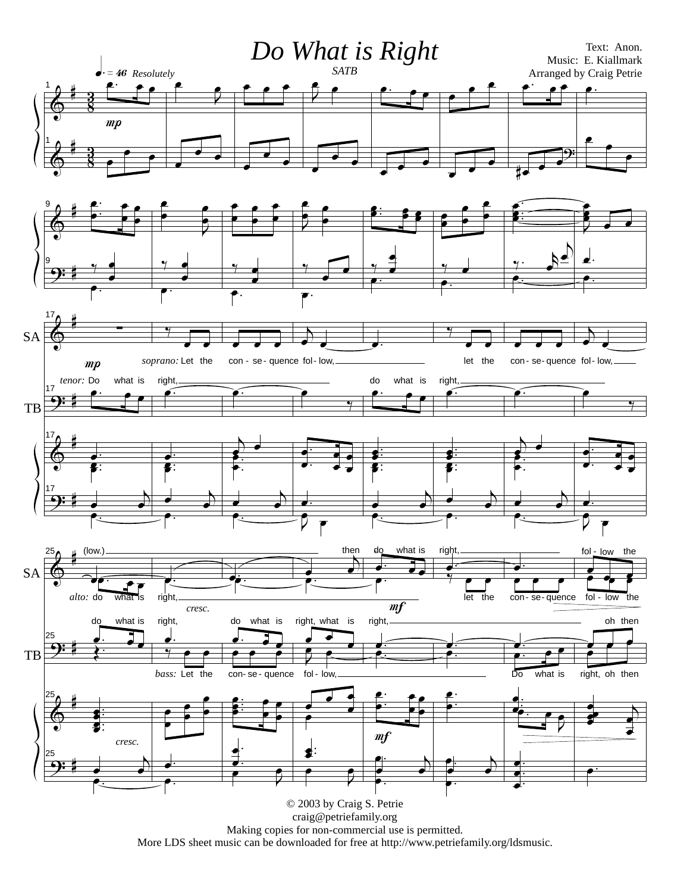

Making copies for non-commercial use is permitted.

More LDS sheet music can be downloaded for free at http://www.petriefamily.org/ldsmusic.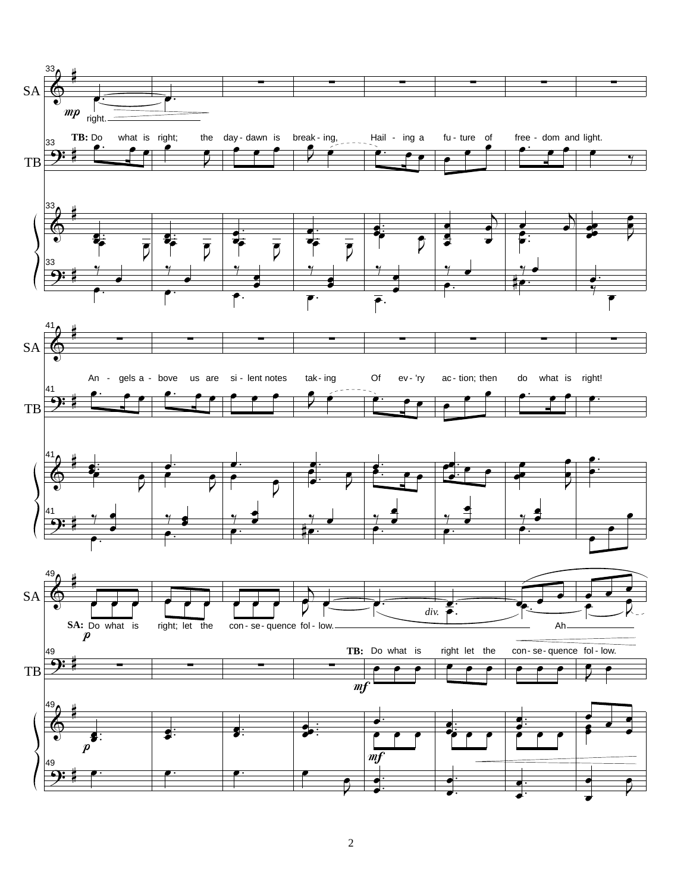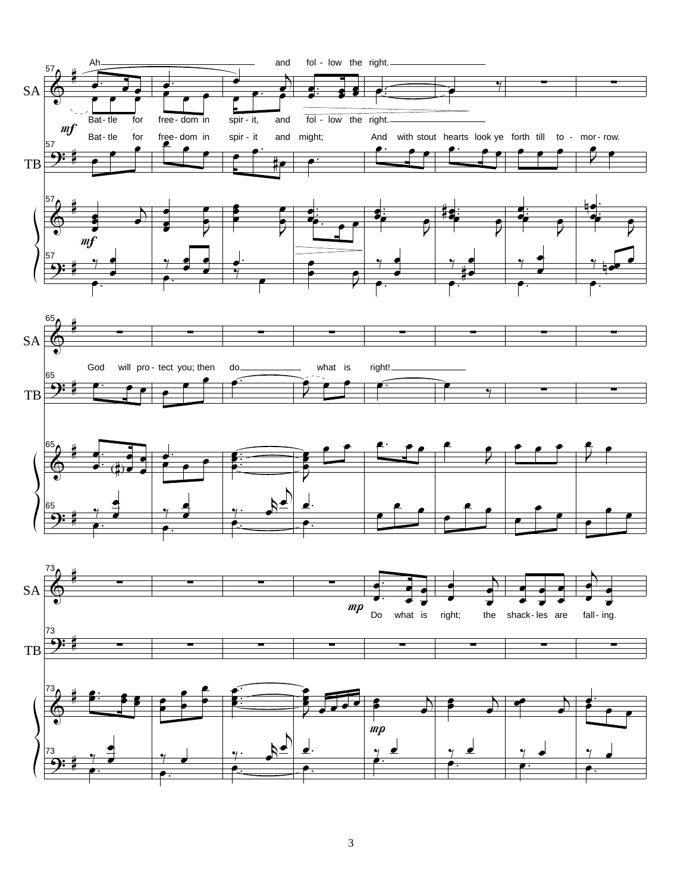

3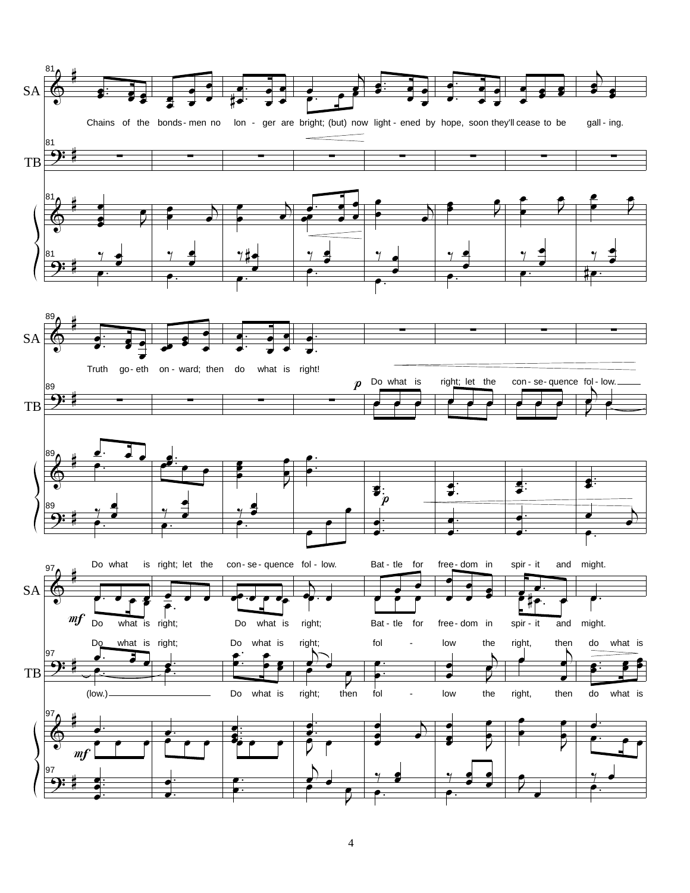

4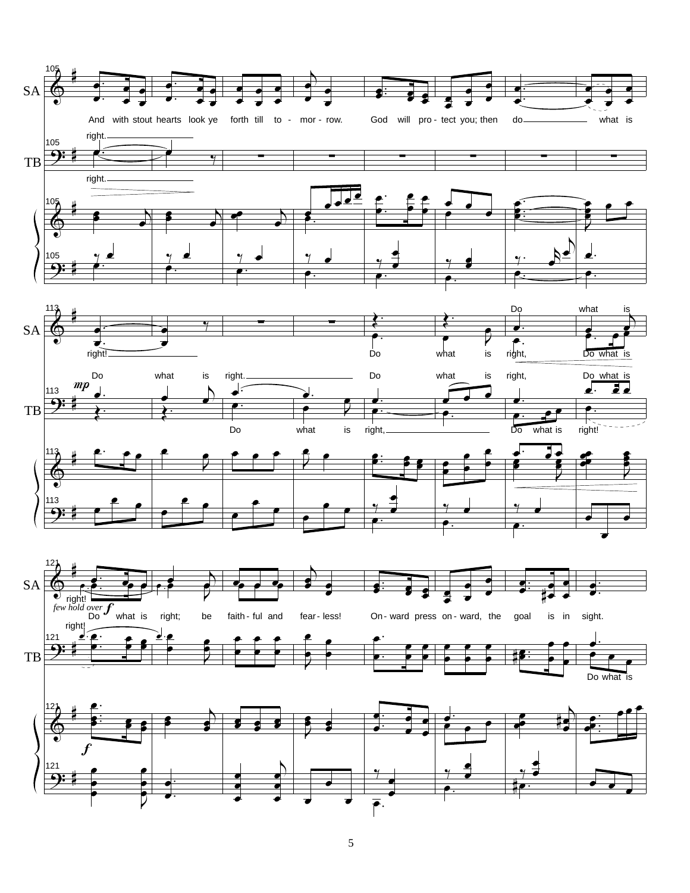

5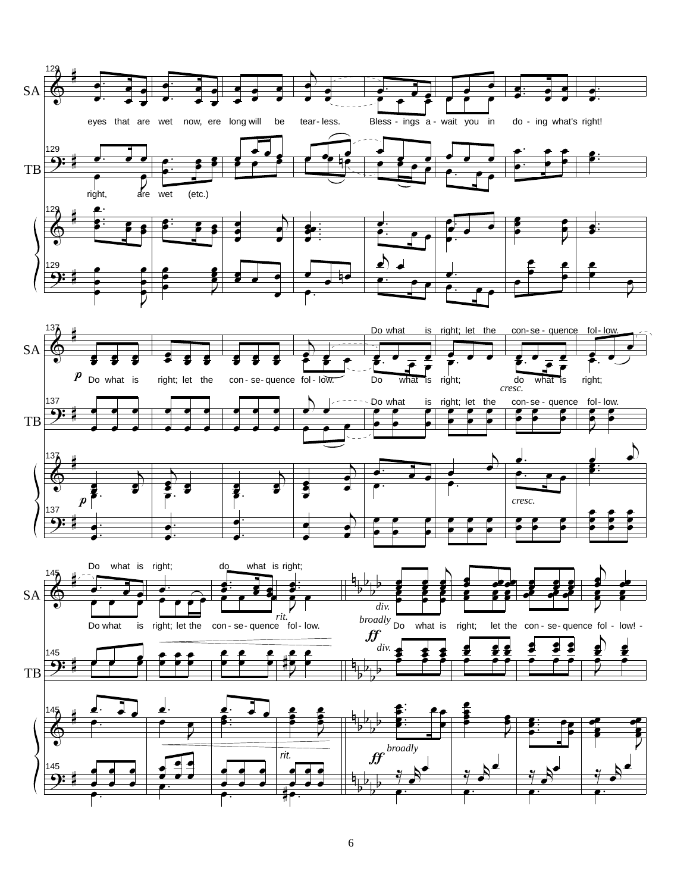